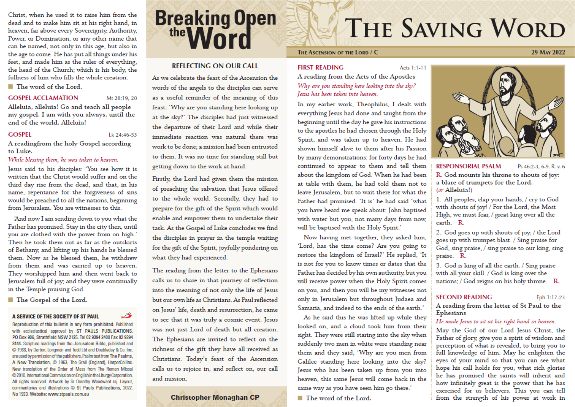Christ, when he used it to raise him from the dead and to make him sit at his right hand, in heaven, far above every Sovereignty, Authority, Power, or Domination, or any other name that can be named, not only in this age, but also in the age to come. He has put all things under his feet, and made him as the ruler of everything, the head of the Church; which is his body, the fullness of him who fills the whole creation.

#### ■ The word of the Lord.

#### **GOSPEL ACCLAMATION**

Alleluia, alleluia! Go and teach all people my gospel. I am with you always, until the end of the world. Alleluia!

Mt 28:19, 20

Lk 24:46-53

#### **GOSPEL**

A readingfrom the holy Gospel according to Luke.

#### While blessing them, he was taken to heaven.

Jesus said to his disciples: 'You see how it is written that the Christ would suffer and on the third day rise from the dead, and that, in his name, repentance for the forgiveness of sins would be preached to all the nations, beginning from Jerusalem. You are witnesses to this.

'And now I am sending down to you what the Father has promised. Stay in the city then, until you are clothed with the power from on high.' Then he took them out as far as the outskirts of Bethany, and lifting up his hands he blessed them. Now as he blessed them, he withdrew from them and was carried up to heaven. They worshipped him and then went back to Jerusalem full of joy; and they were continually in the Temple praising God.

■ The Gospel of the Lord.

#### A SERVICE OF THE SOCIETY OF ST PAUL

Reproduction of this bulletin in any form prohibited. Published with ecclesiastical approval by ST PAULS PUBLICATIONS, PO Box 906, Strathfield NSW 2135, Tel 02 9394 3400 Fax 02 9394 3444. Scripture readings from the Jerusalem Bible, published and C 1966, by Darton, Longman and Todd Ltd and Doubleday & Co. Inc. are used by permission of the publishers. Psalm text from The Psalms, A New Translation, C 1963, The Grail (England), HarperCollins. New translation of the Order of Mass from The Roman Missal @2010, International Commission on English in the Liturgy Corporation. All rights reserved. Artwork by Sr Dorothy Woodward rsj. Layout, commentaries and illustrations C St Pauls Publications, 2022. No 1933. Website: www.stpauls.com.au

# **Breaking Open**

### **REFLECTING ON OUR CALL**

As we celebrate the feast of the Ascension the words of the angels to the disciples can serve as a useful reminder of the meaning of this feast: 'Why are you standing here looking up at the sky?' The disciples had just witnessed the departure of their Lord and while their immediate reaction was natural there was work to be done; a mission had been entrusted to them. It was no time for standing still but getting down to the work at hand.

Firstly, the Lord had given them the mission of preaching the salvation that Jesus offered to the whole world. Secondly, they had to prepare for the gift of the Spirit which would enable and empower them to undertake their task. As the Gospel of Luke concludes we find the disciples in prayer in the temple waiting for the gift of the Spirit, joyfully pondering on what they had experienced.

The reading from the letter to the Ephesians calls us to share in that journey of reflection into the meaning of not only the life of Jesus but our own life as Christians. As Paul reflected on Jesus' life, death and resurrection, he came to see that it was truly a cosmic event. Jesus was not just Lord of death but all creation. The Ephesians are invited to reflect on the richness of the gift they have all received as Christians. Today's feast of the Ascension calls us to rejoice in, and reflect on, our call and mission

#### **Christopher Monaghan CP**

# **THE SAVING WORD**

#### THE ASCENSION OF THE LORD / C

#### **FIRST READING**

#### Acts 1:1-11

A reading from the Acts of the Apostles Why are you standing here looking into the sky? Jesus has been taken into heaven.

In my earlier work, Theophilus, I dealt with everything Jesus had done and taught from the beginning until the day he gave his instructions to the apostles he had chosen through the Holy Spirit, and was taken up to heaven. He had shown himself alive to them after his Passion by many demonstrations: for forty days he had continued to appear to them and tell them about the kingdom of God. When he had been at table with them, he had told them not to leave Jerusalem, but to wait there for what the Father had promised. 'It is' he had said 'what you have heard me speak about: John baptised with water but you, not many days from now, will be baptised with the Holy Spirit.'

Now having met together, they asked him, 'Lord, has the time come? Are you going to restore the kingdom of Israel?' He replied, 'It is not for you to know times or dates that the Father has decided by his own authority, but you will receive power when the Holy Spirit comes on you, and then you will be my witnesses not only in Jerusalem but throughout Judaea and Samaria, and indeed to the ends of the earth.'

As he said this he was lifted up while they looked on, and a cloud took him from their sight. They were still staring into the sky when suddenly two men in white were standing near them and they said, 'Why are you men from Galilee standing here looking into the sky? Jesus who has been taken up from you into heaven, this same Jesus will come back in the same way as you have seen him go there.'

■ The word of the Lord.



#### **RESPONSORIAL PSALM** Ps 46:2-3, 6-9, R, v, 6 R. God mounts his throne to shouts of joy: a blare of trumpets for the Lord. (or Alleluia!)

1. All peoples, clap your hands, / cry to God with shouts of joy! / For the Lord, the Most High, we must fear, / great king over all the earth. R.

2. God goes up with shouts of joy; / the Lord goes up with trumpet blast. / Sing praise for God, sing praise, / sing praise to our king, sing praise. R.

3. God is king of all the earth. / Sing praise with all your skill. / God is king over the nations; / God reigns on his holy throne. R.

#### **SECOND READING**

Eph 1:17-23

29 MAY 2022

A reading from the letter of St Paul to the Ephesians

#### He made Jesus to sit at his right hand in heaven.

May the God of our Lord Jesus Christ, the Father of glory, give you a spirit of wisdom and perception of what is revealed, to bring you to full knowledge of him. May he enlighten the eyes of your mind so that you can see what hope his call holds for you, what rich glories he has promised the saints will inherit and how infinitely great is the power that he has exercised for us believers. This you can tell from the strength of his power at work in